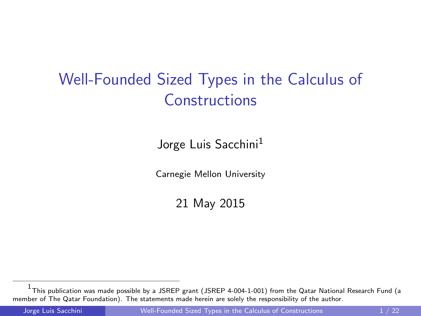## <span id="page-0-0"></span>Well-Founded Sized Types in the Calculus of Constructions

Jorge Luis Sacchini<sup>1</sup>

Carnegie Mellon University

21 May 2015

<sup>&</sup>lt;sup>1</sup> This publication was made possible by a JSREP grant (JSREP 4-004-1-001) from the Qatar National Research Fund (a member of The Qatar Foundation). The statements made herein are solely the responsibility of the author.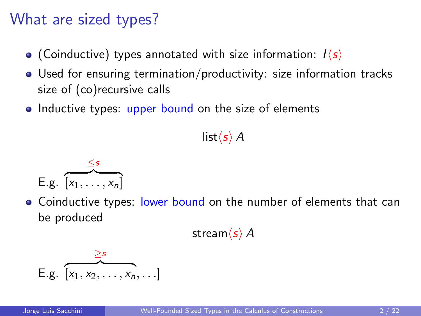### What are sized types?

- (Coinductive) types annotated with size information:  $I\langle s \rangle$
- Used for ensuring termination/productivity: size information tracks size of (co)recursive calls
- Inductive types: upper bound on the size of elements

#### $list\langle s \rangle$  A

$$
E.g. \overbrace{\left[x_1,\ldots,x_n\right]}^{\leq s}
$$

• Coinductive types: lower bound on the number of elements that can be produced

stream $\langle s \rangle$  A

E.g. 
$$
\overbrace{\left[x_1, x_2, \ldots, x_n, \ldots\right]}^{\geq s}
$$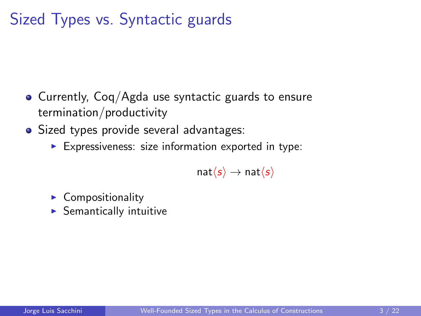## Sized Types vs. Syntactic guards

- Currently, Coq/Agda use syntactic guards to ensure termination/productivity
- Sized types provide several advantages:
	- $\blacktriangleright$  Expressiveness: size information exported in type:

 $nat\langle s \rangle \rightarrow nat\langle s \rangle$ 

- $\blacktriangleright$  Compositionality
- $\blacktriangleright$  Semantically intuitive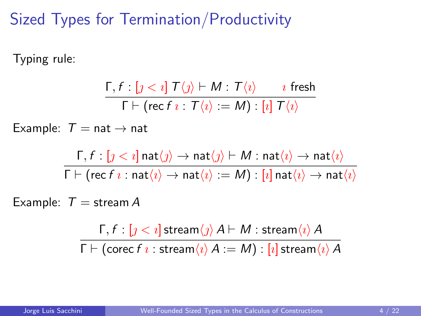## Sized Types for Termination/Productivity

Typing rule:

$$
\dfrac{\Gamma, f : [ \jmath < \imath ] \ T \langle \jmath \rangle \vdash M : T \langle \imath \rangle \qquad \imath \ \ \text{fresh}}{\Gamma \vdash (\mathsf{rec}\ f \ \imath : T \langle \imath \rangle := M) : [\imath ] \ T \langle \imath \rangle}
$$

Example:  $T = nat \rightarrow nat$ 

$$
\dfrac{\Gamma, f:[\jmath<\imath]\operatorname{nat}\langle\jmath\rangle\to\operatorname{nat}\langle\jmath\rangle\vdash M:\operatorname{nat}\langle\imath\rangle\to\operatorname{nat}\langle\imath\rangle}{\Gamma\vdash(\operatorname{rec} f\imath:\operatorname{nat}\langle\imath\rangle\to\operatorname{nat}\langle\imath\rangle:=M):[\imath]\operatorname{nat}\langle\imath\rangle\to\operatorname{nat}\langle\imath\rangle}
$$

Example:  $T =$  stream A

 $Γ, f : [j < i]$  stream $\langle j \rangle$   $A ⊢ M$  : stream $\langle i \rangle$   $A$  $\Gamma \vdash$  (corec f *ι* : stream $\langle i \rangle A := M$ ) :  $[i]$  stream $\langle i \rangle A$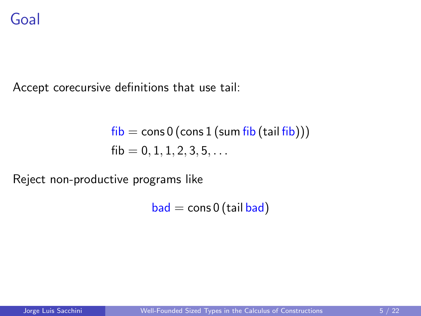### Goal

Accept corecursive definitions that use tail:

$$
\begin{aligned}\n\text{fib} &= \text{cons } 0 \left( \text{cons } 1 \left( \text{sum fib} \left( \text{tail fib} \right) \right) \right) \\
\text{fib} &= 0, 1, 1, 2, 3, 5, \dots\n\end{aligned}
$$

Reject non-productive programs like

 $bad = cons 0 (tail bad)$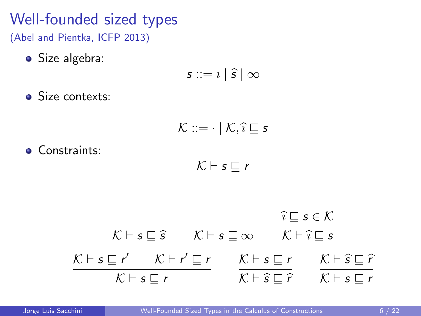## Well-founded sized types

(Abel and Pientka, ICFP 2013)

**•** Size algebra:

$$
s ::= i | \widehat{s} | \infty
$$

**Size contexts:** 

$$
\mathcal{K} ::= \cdot \mid \mathcal{K}, \widehat{\imath} \sqsubseteq s
$$

**Constraints:** 

$$
\mathcal{K} \vdash s \sqsubseteq r
$$

$$
\begin{array}{ccc}\n\overline{K \vdash s \sqsubseteq \hat{s}} & \overline{K \vdash s \sqsubseteq \infty} & \overbrace{\hat{k \vdash s \sqsubseteq s}}^{\hat{i} \sqsubseteq s \in \hat{K}} \\
\frac{K \vdash s \sqsubseteq r'}{K \vdash s \sqsubseteq r} & \overline{K \vdash s \sqsubseteq r} & \overline{K \vdash \hat{s} \sqsubseteq \hat{r}} \\
\overline{K \vdash s \sqsubseteq r} & \overline{K \vdash \hat{s} \sqsubseteq \hat{r}} & \overline{K \vdash s \sqsubseteq r}\n\end{array}
$$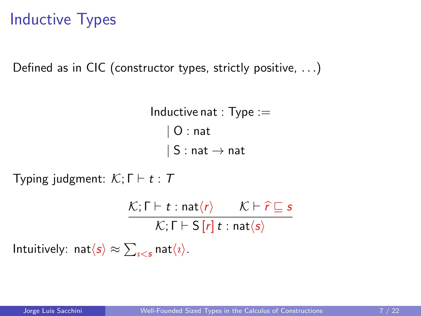## Inductive Types

Defined as in CIC (constructor types, strictly positive, . . .)

Inductive nat :  $Type :=$ | O : nat  $| S : nat \rightarrow nat$ 

Typing judgment:  $\mathcal{K}$ ;  $\Gamma \vdash t : T$ 

$$
\frac{\mathcal{K};\Gamma\vdash t:\text{nat}\langle r\rangle \qquad \mathcal{K}\vdash \widehat{r}\sqsubseteq s}{\mathcal{K};\Gamma\vdash S[r]\ t:\text{nat}\langle s\rangle}
$$

Intuitively:  $\mathsf{nat}\langle \mathsf{s} \rangle \approx \sum_{\imath < \mathsf{s}} \mathsf{nat}\langle \imath \rangle.$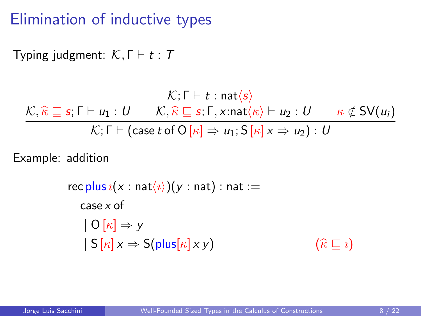## Elimination of inductive types

Typing judgment:  $\mathcal{K}, \Gamma \vdash t : T$ 

$$
\mathcal{K}; \Gamma \vdash t : \text{nat}\langle s \rangle
$$
\n
$$
\mathcal{K}; \widehat{\kappa} \sqsubseteq s; \Gamma \vdash u_1 : U \qquad \mathcal{K}, \widehat{\kappa} \sqsubseteq s; \Gamma, x : \text{nat}\langle \kappa \rangle \vdash u_2 : U \qquad \kappa \notin SV(u_i)
$$
\n
$$
\mathcal{K}; \Gamma \vdash (\text{case } t \text{ of } O[\kappa] \Rightarrow u_1; S[\kappa] \times \Rightarrow u_2) : U
$$

Example: addition

rec plus  $i(x : \text{nat}(i))(y : \text{nat})$ : nat := case x of  $| O[k] \Rightarrow y$  $| S[\kappa] x \Rightarrow S(\text{plus}[\kappa] x y)$  ( $\widehat{\kappa} \sqsubseteq i$ )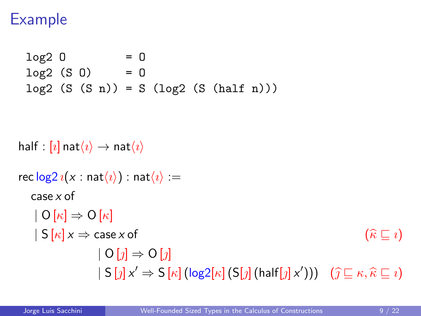## Example

```
log2 0 = 0log2 (S_0) = 0log2 (S (S n)) = S (log2 (S (half n)))
```

```
half : [i] nat\langle i \rangle \rightarrow nat\langle i \ranglerec \log 2 i(x : \text{nat}(i)) : nat\langle i \rangle :=case x of
      | O[k] \Rightarrow O[k]|\mathsf{S}[\kappa]\mathsf{x} \Rightarrow \mathsf{case}\,\mathsf{x} of (\widehat{\kappa}\sqsubset \mathsf{z})| O[\eta] \Rightarrow O[\eta]|S[j]x' \Rightarrow S[\kappa](\log 2[\kappa](S[j](\mathsf{half}[j]x'))) (\widehat{j} \sqsubseteq \kappa, \widehat{\kappa} \sqsubseteq i)
```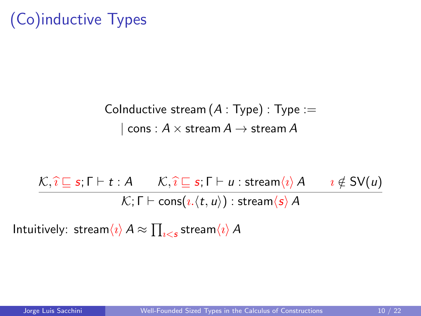# (Co)inductive Types

CoInductive stream  $(A : Type) : Type :=$  $\cos : A \times \text{stream } A \rightarrow \text{stream } A$ 

$$
\frac{\mathcal{K}, \hat{\imath} \sqsubseteq s; \Gamma \vdash t : A \qquad \mathcal{K}, \hat{\imath} \sqsubseteq s; \Gamma \vdash u : \text{stream}\langle \imath \rangle A \qquad \imath \notin SV(u)}{\mathcal{K}; \Gamma \vdash \text{cons}\langle \imath, \langle t, u \rangle \rangle : \text{stream}\langle s \rangle A}
$$

Intuitively:  $\mathsf{stream}\langle \imath \rangle\, A \approx \prod_{\imath < s} \mathsf{stream}\langle \imath \rangle\, A$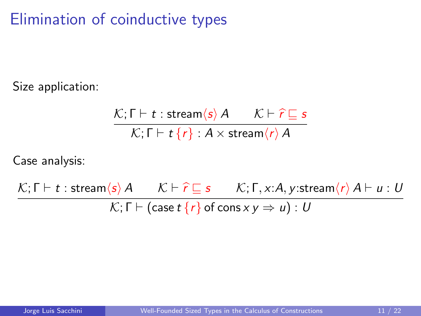## Elimination of coinductive types

Size application:

$$
\frac{\mathcal{K}; \Gamma \vdash t : \text{stream}\langle s \rangle \, A \qquad \mathcal{K} \vdash \hat{r} \sqsubseteq s}{\mathcal{K}; \Gamma \vdash t \, \{r\} : A \times \text{stream}\langle r \rangle \, A}
$$

Case analysis:

 $\mathcal{K}; \Gamma \vdash t : \text{stream}\langle s \rangle A \qquad \mathcal{K} \vdash \hat{r} \sqsubseteq s \qquad \mathcal{K}; \Gamma, x : A, y : \text{stream}\langle r \rangle A \vdash u : U$  $\mathcal{K};$  Γ  $\vdash$  (case t {r} of cons x y  $\Rightarrow$  u) : U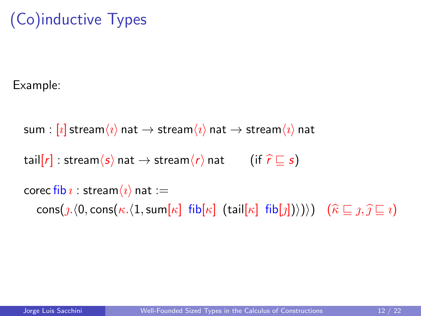## (Co)inductive Types

Example:

sum :  $[i]$  stream $\langle i \rangle$  nat  $\rightarrow$  stream $\langle i \rangle$  nat  $\rightarrow$  stream $\langle i \rangle$  nat tail[r] : stream $\langle s \rangle$  nat  $\rightarrow$  stream $\langle r \rangle$  nat (if  $\hat{r} \sqsubseteq s$ ) corec fib  $\imath$  : stream $\langle \imath \rangle$  nat :=  $\text{cons}(p,(0,\text{cons}(\kappa,(1,\text{sum}[\kappa]\text{fib}[\kappa]\text{ (tail}[\kappa]\text{fib}[\jmath])))))$   $(\widehat{\kappa}\sqsubseteq \jmath,\widehat{\jmath}\sqsubseteq \imath)$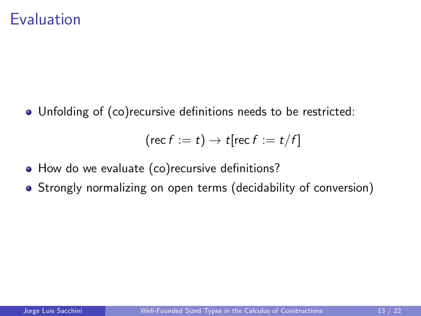Unfolding of (co)recursive definitions needs to be restricted:

$$
(\mathsf{rec}\, f := t) \to t[\mathsf{rec}\, f := t/f]
$$

- How do we evaluate (co) recursive definitions?
- Strongly normalizing on open terms (decidability of conversion)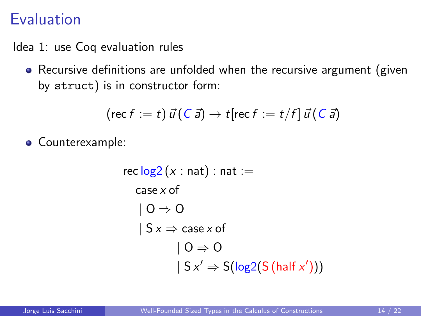Idea 1: use Coq evaluation rules

Recursive definitions are unfolded when the recursive argument (given by struct) is in constructor form:

$$
(\mathsf{rec}\, f := t)\,\vec{u}\,(\mathsf{C}\,\vec{a}) \to t[\mathsf{rec}\, f := t/f]\,\vec{u}\,(\mathsf{C}\,\vec{a})
$$

Counterexample:

$$
\begin{aligned}\n\text{rec}\log 2 (x : \text{nat}) : \text{nat} &:= \\
\text{case } x \text{ of} \\
| \text{O} &\Rightarrow \text{O} \\
| Sx &\Rightarrow \text{case } x \text{ of} \\
| \text{O} &\Rightarrow \text{O} \\
| Sx' &\Rightarrow S(\log 2(S(\text{half } x'))))\n\end{aligned}
$$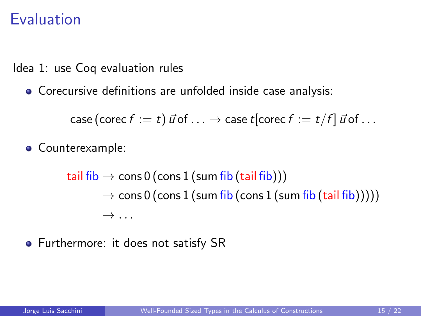Idea 1: use Coq evaluation rules

Corecursive definitions are unfolded inside case analysis:

case (corec  $f := t$ )  $\vec{u}$  of  $\ldots \rightarrow$  case  $t$ [corec  $f := t/f$ ]  $\vec{u}$  of  $\ldots$ 

**•** Counterexample:

tail fib  $\rightarrow$  cons 0 (cons 1 (sum fib (tail fib)))  $\rightarrow$  cons 0 (cons 1 (sum fib (cons 1 (sum fib (tail fib)))))  $\rightarrow \ldots$ 

• Furthermore: it does not satisfy SR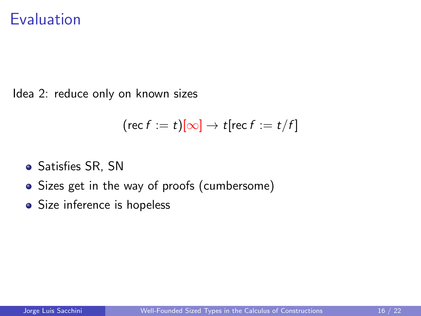Idea 2: reduce only on known sizes

$$
(\mathsf{rec}\, f := t)[\infty] \to t[\mathsf{rec}\, f := t/f]
$$

- Satisfies SR, SN
- Sizes get in the way of proofs (cumbersome)
- Size inference is hopeless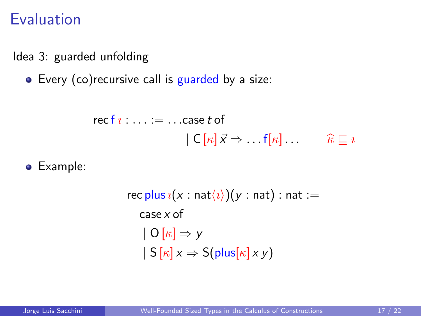Idea 3: guarded unfolding

• Every (co) recursive call is guarded by a size:

$$
\begin{aligned}\n\text{recf } i: \ldots &:= \ldots \text{case } t \text{ of} \\
|C[\kappa] \vec{x} \Rightarrow \ldots f[\kappa] \ldots \qquad \widehat{\kappa} \sqsubseteq i\n\end{aligned}
$$

Example:

rec plus  $\iota(x : \text{nat}(i))(y : \text{nat})$ : nat := case x of  $| O[k] \Rightarrow y$  $|S[\kappa] x \Rightarrow S(\text{plus}[\kappa] x y)$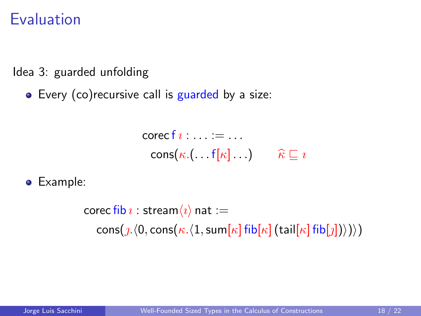Idea 3: guarded unfolding

• Every (co) recursive call is guarded by a size:

 $\operatorname{corecf} i : \ldots := \ldots$  $\cos(\kappa \cdot ( \dots f[\kappa] \dots ) \qquad \widehat{\kappa} \sqsubseteq i$ 

Example:

corec fib  $\imath$  : stream $\langle \imath \rangle$  nat := cons( $\mathcal{L}(0, \text{cons}(\kappa, \langle 1, \text{sum}[\kappa] \text{fib}[\kappa](\text{tail}[\kappa] \text{fib}[\jmath])\rangle))$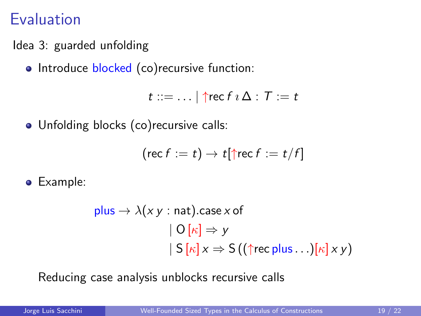- Idea 3: guarded unfolding
	- Introduce blocked (co)recursive function:

 $t ::= \ldots | \text{ } \text{frac } f \imath \Delta : T := t$ 

• Unfolding blocks (co)recursive calls:

$$
(\mathsf{rec}\, f := t) \to t[\uparrow \mathsf{rec}\, f := t/f]
$$

Example:

plus 
$$
\rightarrow \lambda(x y : \text{nat}).\text{case } x \text{ of}
$$
  
\n $| O[k] \Rightarrow y$   
\n $| S[k]x \Rightarrow S((\uparrow \text{rec plus} ...)[k]xy)$ 

Reducing case analysis unblocks recursive calls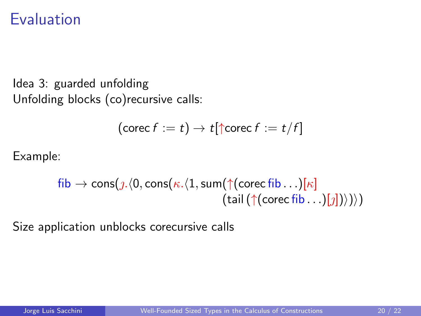```
Idea 3: guarded unfolding
Unfolding blocks (co)recursive calls:
```

$$
(\mathsf{corec}\, f := t) \to t[\uparrow \mathsf{corec}\, f := t/f]
$$

Example:

$$
\begin{array}{c}\n\text{fib} \rightarrow \text{cons}(j. \langle 0, \text{cons}(\kappa. \langle 1, \text{sum}(\uparrow(\text{core}\, \text{fib} \dots)[\kappa])\rangle) \\
\qquad \qquad (\text{tail}(\uparrow(\text{core}\, \text{fib} \dots)[j]))\rangle)\n\end{array}
$$

Size application unblocks corecursive calls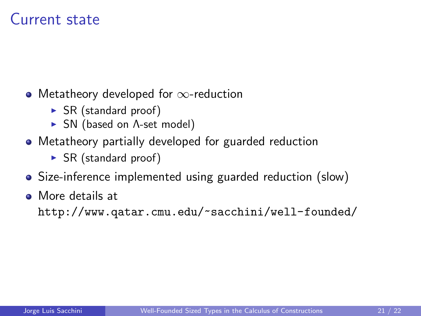### Current state

- Metatheory developed for ∞-reduction
	- $\triangleright$  SR (standard proof)
	- **F** SN (based on A-set model)
- Metatheory partially developed for guarded reduction
	- $\triangleright$  SR (standard proof)
- Size-inference implemented using guarded reduction (slow)
- More details at

<http://www.qatar.cmu.edu/~sacchini/well-founded/>